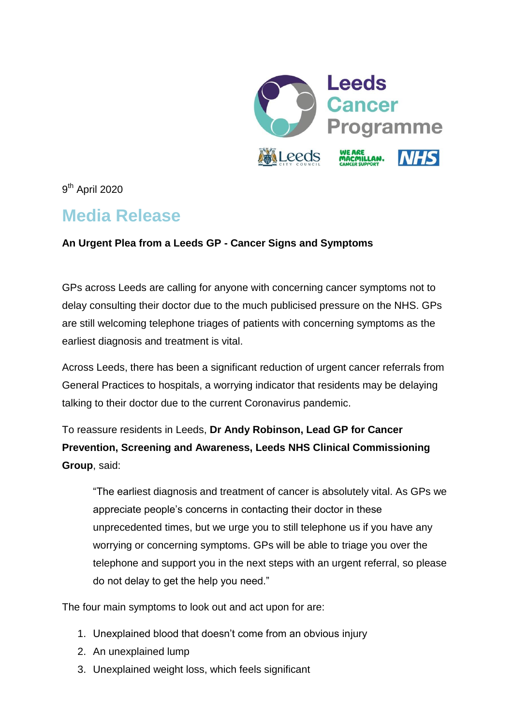

9<sup>th</sup> April 2020

# **Media Release**

# **An Urgent Plea from a Leeds GP - Cancer Signs and Symptoms**

GPs across Leeds are calling for anyone with concerning cancer symptoms not to delay consulting their doctor due to the much publicised pressure on the NHS. GPs are still welcoming telephone triages of patients with concerning symptoms as the earliest diagnosis and treatment is vital.

Across Leeds, there has been a significant reduction of urgent cancer referrals from General Practices to hospitals, a worrying indicator that residents may be delaying talking to their doctor due to the current Coronavirus pandemic.

To reassure residents in Leeds, **Dr Andy Robinson, Lead GP for Cancer Prevention, Screening and Awareness, Leeds NHS Clinical Commissioning Group**, said:

"The earliest diagnosis and treatment of cancer is absolutely vital. As GPs we appreciate people's concerns in contacting their doctor in these unprecedented times, but we urge you to still telephone us if you have any worrying or concerning symptoms. GPs will be able to triage you over the telephone and support you in the next steps with an urgent referral, so please do not delay to get the help you need."

The four main symptoms to look out and act upon for are:

- 1. Unexplained blood that doesn't come from an obvious injury
- 2. An unexplained lump
- 3. Unexplained weight loss, which feels significant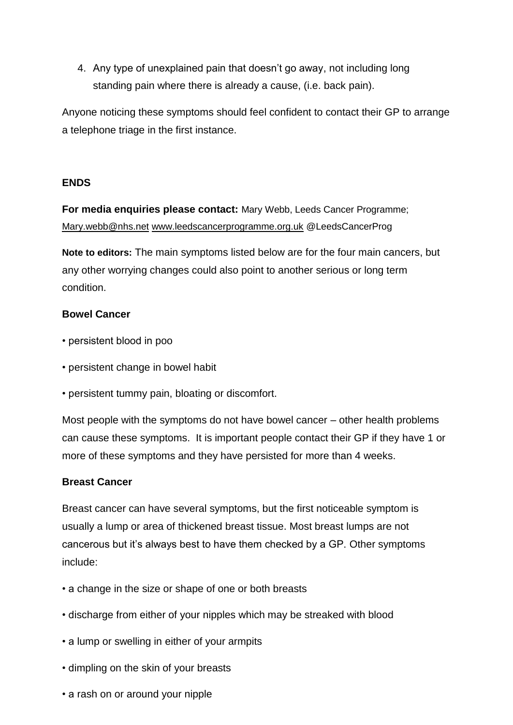4. Any type of unexplained pain that doesn't go away, not including long standing pain where there is already a cause, (i.e. back pain).

Anyone noticing these symptoms should feel confident to contact their GP to arrange a telephone triage in the first instance.

## **ENDS**

**For media enquiries please contact:** Mary Webb, Leeds Cancer Programme; [Mary.webb@nhs.net](mailto:Mary.webb@nhs.net) [www.leedscancerprogramme.org.uk](http://www.leedscancerprogramme.org.uk/) @LeedsCancerProg

**Note to editors:** The main symptoms listed below are for the four main cancers, but any other worrying changes could also point to another serious or long term condition.

#### **Bowel Cancer**

- persistent blood in poo
- persistent change in bowel habit
- persistent tummy pain, bloating or discomfort.

Most people with the symptoms do not have bowel cancer – other health problems can cause these symptoms. It is important people contact their GP if they have 1 or more of these symptoms and they have persisted for more than 4 weeks.

## **Breast Cancer**

Breast cancer can have several symptoms, but the first noticeable symptom is usually a lump or area of thickened breast tissue. Most breast lumps are not cancerous but it's always best to have them checked by a GP. Other symptoms include:

- a change in the size or shape of one or both breasts
- discharge from either of your nipples which may be streaked with blood
- a lump or swelling in either of your armpits
- dimpling on the skin of your breasts
- a rash on or around your nipple